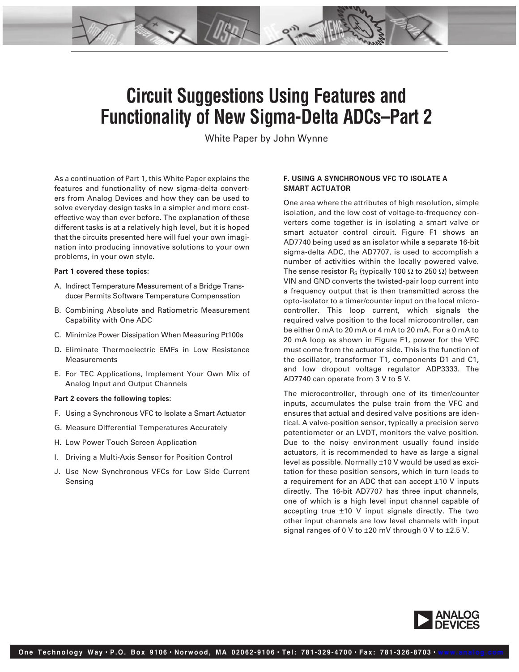# **Circuit Suggestions Using Features and Functionality of New Sigma-Delta ADCs–Part 2**

White Paper by John Wynne

As a continuation of Part 1, this White Paper explains the features and functionality of new sigma-delta converters from Analog Devices and how they can be used to solve everyday design tasks in a simpler and more costeffective way than ever before. The explanation of these different tasks is at a relatively high level, but it is hoped that the circuits presented here will fuel your own imagination into producing innovative solutions to your own problems, in your own style.

#### **Part 1 covered these topics:**

- A. Indirect Temperature Measurement of a Bridge Transducer Permits Software Temperature Compensation
- B. Combining Absolute and Ratiometric Measurement Capability with One ADC
- C. Minimize Power Dissipation When Measuring Pt100s
- D. Eliminate Thermoelectric EMFs in Low Resistance Measurements
- E. For TEC Applications, Implement Your Own Mix of Analog Input and Output Channels

#### **Part 2 covers the following topics:**

- F. Using a Synchronous VFC to Isolate a Smart Actuator
- G. Measure Differential Temperatures Accurately
- H. Low Power Touch Screen Application
- I. Driving a Multi-Axis Sensor for Position Control
- J. Use New Synchronous VFCs for Low Side Current Sensing

## **F. USING A SYNCHRONOUS VFC TO ISOLATE A SMART ACTUATOR**

One area where the attributes of high resolution, simple isolation, and the low cost of voltage-to-frequency converters come together is in isolating a smart valve or smart actuator control circuit. Figure F1 shows an AD7740 being used as an isolator while a separate 16-bit sigma-delta ADC, the AD7707, is used to accomplish a number of activities within the locally powered valve. The sense resistor R<sub>S</sub> (typically 100  $\Omega$  to 250  $\Omega$ ) between VIN and GND converts the twisted-pair loop current into a frequency output that is then transmitted across the opto-isolator to a timer/counter input on the local microcontroller. This loop current, which signals the required valve position to the local microcontroller, can be either 0 mA to 20 mA or 4 mA to 20 mA. For a 0 mA to 20 mA loop as shown in Figure F1, power for the VFC must come from the actuator side. This is the function of the oscillator, transformer T1, components D1 and C1, and low dropout voltage regulator ADP3333. The AD7740 can operate from 3 V to 5 V.

The microcontroller, through one of its timer/counter inputs, accumulates the pulse train from the VFC and ensures that actual and desired valve positions are identical. A valve-position sensor, typically a precision servo potentiometer or an LVDT, monitors the valve position. Due to the noisy environment usually found inside actuators, it is recommended to have as large a signal level as possible. Normally ±10 V would be used as excitation for these position sensors, which in turn leads to a requirement for an ADC that can accept  $\pm 10$  V inputs directly. The 16-bit AD7707 has three input channels, one of which is a high level input channel capable of accepting true  $\pm 10$  V input signals directly. The two other input channels are low level channels with input signal ranges of 0 V to  $\pm 20$  mV through 0 V to  $\pm 2.5$  V.

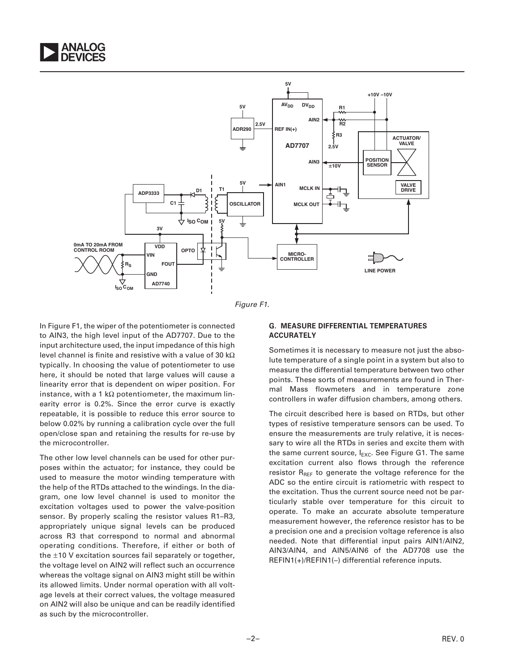



Figure F1.

In Figure F1, the wiper of the potentiometer is connected to AIN3, the high level input of the AD7707. Due to the input architecture used, the input impedance of this high level channel is finite and resistive with a value of 30 k $\Omega$ typically. In choosing the value of potentiometer to use here, it should be noted that large values will cause a linearity error that is dependent on wiper position. For instance, with a 1 k $\Omega$  potentiometer, the maximum linearity error is 0.2%. Since the error curve is exactly repeatable, it is possible to reduce this error source to below 0.02% by running a calibration cycle over the full open/close span and retaining the results for re-use by the microcontroller.

The other low level channels can be used for other purposes within the actuator; for instance, they could be used to measure the motor winding temperature with the help of the RTDs attached to the windings. In the diagram, one low level channel is used to monitor the excitation voltages used to power the valve-position sensor. By properly scaling the resistor values R1–R3, appropriately unique signal levels can be produced across R3 that correspond to normal and abnormal operating conditions. Therefore, if either or both of the ±10 V excitation sources fail separately or together, the voltage level on AIN2 will reflect such an occurrence whereas the voltage signal on AIN3 might still be within its allowed limits. Under normal operation with all voltage levels at their correct values, the voltage measured on AIN2 will also be unique and can be readily identified as such by the microcontroller.

## **G. MEASURE DIFFERENTIAL TEMPERATURES ACCURATELY**

Sometimes it is necessary to measure not just the absolute temperature of a single point in a system but also to measure the differential temperature between two other points. These sorts of measurements are found in Thermal Mass flowmeters and in temperature zone controllers in wafer diffusion chambers, among others.

The circuit described here is based on RTDs, but other types of resistive temperature sensors can be used. To ensure the measurements are truly relative, it is necessary to wire all the RTDs in series and excite them with the same current source,  $I_{\text{EXC}}$ . See Figure G1. The same excitation current also flows through the reference resistor  $R_{REF}$  to generate the voltage reference for the ADC so the entire circuit is ratiometric with respect to the excitation. Thus the current source need not be particularly stable over temperature for this circuit to operate. To make an accurate absolute temperature measurement however, the reference resistor has to be a precision one and a precision voltage reference is also needed. Note that differential input pairs AIN1/AIN2, AIN3/AIN4, and AIN5/AIN6 of the AD7708 use the REFIN1(+)/REFIN1(–) differential reference inputs.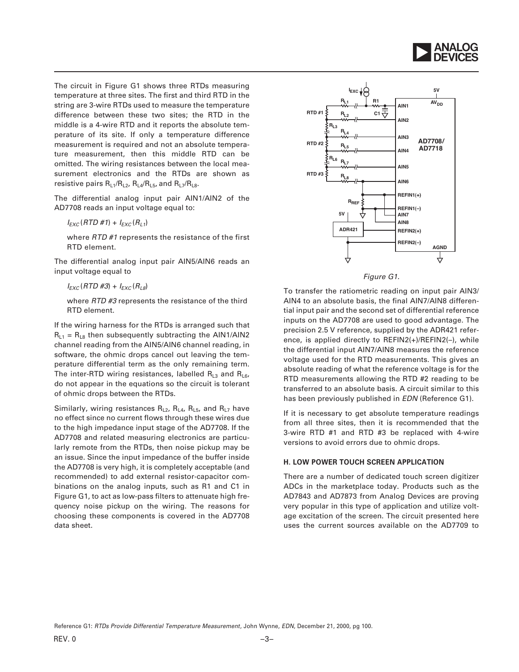

The circuit in Figure G1 shows three RTDs measuring temperature at three sites. The first and third RTD in the string are 3-wire RTDs used to measure the temperature difference between these two sites; the RTD in the middle is a 4-wire RTD and it reports the absolute temperature of its site. If only a temperature difference measurement is required and not an absolute temperature measurement, then this middle RTD can be omitted. The wiring resistances between the local measurement electronics and the RTDs are shown as resistive pairs  $R_{L1}/R_{L2}$ ,  $R_{L4}/R_{L5}$ , and  $R_{L7}/R_{L8}$ .

The differential analog input pair AIN1/AIN2 of the AD7708 reads an input voltage equal to:

 $I_{EXC}$ (RTD #1) +  $I_{EXC}$ (R<sub>L1</sub>)

where RTD #1 represents the resistance of the first RTD element.

The differential analog input pair AIN5/AIN6 reads an input voltage equal to

 $I_{EXC}$ (RTD #3) +  $I_{EXC}$ (R<sub>L8</sub>)

where RTD #3 represents the resistance of the third RTD element.

If the wiring harness for the RTDs is arranged such that  $R_{L1}$  =  $R_{L8}$  then subsequently subtracting the AIN1/AIN2 channel reading from the AIN5/AIN6 channel reading, in software, the ohmic drops cancel out leaving the temperature differential term as the only remaining term. The inter-RTD wiring resistances, labelled  $R_{13}$  and  $R_{16}$ , do not appear in the equations so the circuit is tolerant of ohmic drops between the RTDs.

Similarly, wiring resistances  $R_{L2}$ ,  $R_{L4}$ ,  $R_{L5}$ , and  $R_{L7}$  have no effect since no current flows through these wires due to the high impedance input stage of the AD7708. If the AD7708 and related measuring electronics are particularly remote from the RTDs, then noise pickup may be an issue. Since the input impedance of the buffer inside the AD7708 is very high, it is completely acceptable (and recommended) to add external resistor-capacitor combinations on the analog inputs, such as R1 and C1 in Figure G1, to act as low-pass filters to attenuate high frequency noise pickup on the wiring. The reasons for choosing these components is covered in the AD7708 data sheet.



Figure G1.

To transfer the ratiometric reading on input pair AIN3/ AIN4 to an absolute basis, the final AIN7/AIN8 differential input pair and the second set of differential reference inputs on the AD7708 are used to good advantage. The precision 2.5 V reference, supplied by the ADR421 reference, is applied directly to REFIN2(+)/REFIN2(–), while the differential input AIN7/AIN8 measures the reference voltage used for the RTD measurements. This gives an absolute reading of what the reference voltage is for the RTD measurements allowing the RTD #2 reading to be transferred to an absolute basis. A circuit similar to this has been previously published in EDN (Reference G1).

If it is necessary to get absolute temperature readings from all three sites, then it is recommended that the 3-wire RTD #1 and RTD #3 be replaced with 4-wire versions to avoid errors due to ohmic drops.

## **H. LOW POWER TOUCH SCREEN APPLICATION**

There are a number of dedicated touch screen digitizer ADCs in the marketplace today. Products such as the AD7843 and AD7873 from Analog Devices are proving very popular in this type of application and utilize voltage excitation of the screen. The circuit presented here uses the current sources available on the AD7709 to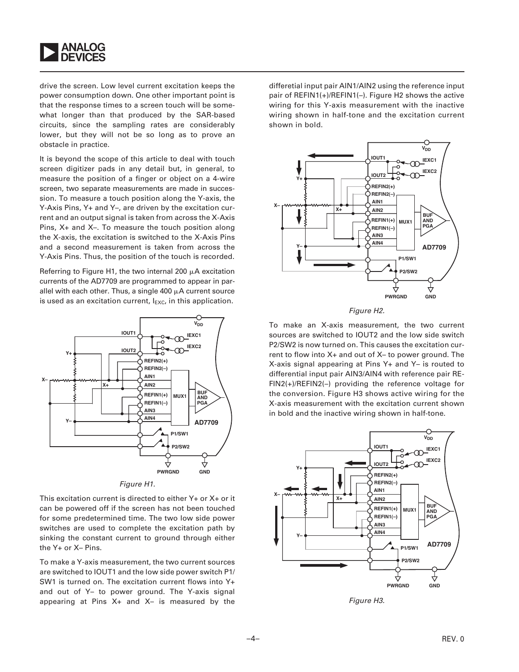

drive the screen. Low level current excitation keeps the power consumption down. One other important point is that the response times to a screen touch will be somewhat longer than that produced by the SAR-based circuits, since the sampling rates are considerably lower, but they will not be so long as to prove an obstacle in practice.

It is beyond the scope of this article to deal with touch screen digitizer pads in any detail but, in general, to measure the position of a finger or object on a 4-wire screen, two separate measurements are made in succession. To measure a touch position along the Y-axis, the Y-Axis Pins, Y+ and Y–, are driven by the excitation current and an output signal is taken from across the X-Axis Pins, X+ and X–. To measure the touch position along the X-axis, the excitation is switched to the X-Axis Pins and a second measurement is taken from across the Y-Axis Pins. Thus, the position of the touch is recorded.

Referring to Figure H1, the two internal 200  $\mu$ A excitation currents of the AD7709 are programmed to appear in parallel with each other. Thus, a single  $400 \mu A$  current source is used as an excitation current,  $I_{EXC}$ , in this application.



This excitation current is directed to either Y+ or X+ or it can be powered off if the screen has not been touched for some predetermined time. The two low side power switches are used to complete the excitation path by sinking the constant current to ground through either the Y+ or X– Pins.

To make a Y-axis measurement, the two current sources are switched to IOUT1 and the low side power switch P1/ SW1 is turned on. The excitation current flows into Y+ and out of Y– to power ground. The Y-axis signal appearing at Pins X+ and X– is measured by the

differetial input pair AIN1/AIN2 using the reference input pair of REFIN1(+)/REFIN1(–). Figure H2 shows the active wiring for this Y-axis measurement with the inactive wiring shown in half-tone and the excitation current shown in bold.



#### Figure H2.

To make an X-axis measurement, the two current sources are switched to IOUT2 and the low side switch P2/SW2 is now turned on. This causes the excitation current to flow into X+ and out of X– to power ground. The X-axis signal appearing at Pins Y+ and Y– is routed to differential input pair AIN3/AIN4 with reference pair RE-FIN2(+)/REFIN2(–) providing the reference voltage for the conversion. Figure H3 shows active wiring for the X-axis measurement with the excitation current shown in bold and the inactive wiring shown in half-tone.



Figure H3.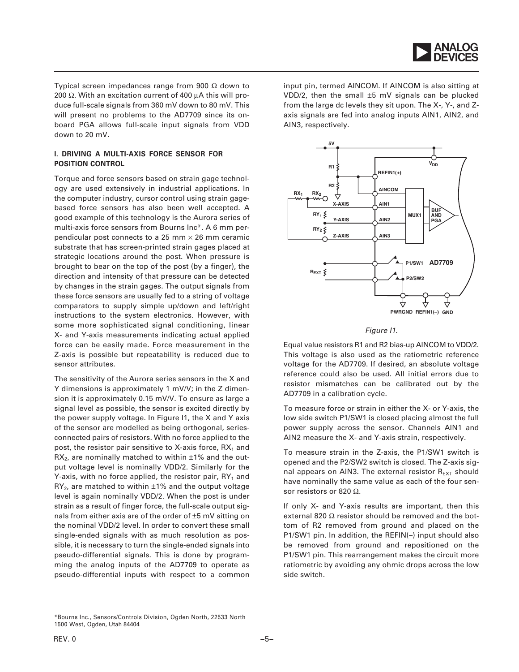

Typical screen impedances range from 900  $\Omega$  down to 200  $\Omega$ . With an excitation current of 400  $\mu$ A this will produce full-scale signals from 360 mV down to 80 mV. This will present no problems to the AD7709 since its onboard PGA allows full-scale input signals from VDD down to 20 mV.

# **I. DRIVING A MULTI-AXIS FORCE SENSOR FOR POSITION CONTROL**

Torque and force sensors based on strain gage technology are used extensively in industrial applications. In the computer industry, cursor control using strain gagebased force sensors has also been well accepted. A good example of this technology is the Aurora series of multi-axis force sensors from Bourns Inc\*. A 6 mm perpendicular post connects to a 25 mm  $\times$  26 mm ceramic substrate that has screen-printed strain gages placed at strategic locations around the post. When pressure is brought to bear on the top of the post (by a finger), the direction and intensity of that pressure can be detected by changes in the strain gages. The output signals from these force sensors are usually fed to a string of voltage comparators to supply simple up/down and left/right instructions to the system electronics. However, with some more sophisticated signal conditioning, linear X- and Y-axis measurements indicating actual applied force can be easily made. Force measurement in the Z-axis is possible but repeatability is reduced due to sensor attributes.

The sensitivity of the Aurora series sensors in the X and Y dimensions is approximately 1 mV/V; in the Z dimension it is approximately 0.15 mV/V. To ensure as large a signal level as possible, the sensor is excited directly by the power supply voltage. In Figure I1, the X and Y axis of the sensor are modelled as being orthogonal, seriesconnected pairs of resistors. With no force applied to the post, the resistor pair sensitive to X-axis force,  $RX_1$  and  $RX<sub>2</sub>$ , are nominally matched to within  $\pm 1\%$  and the output voltage level is nominally VDD/2. Similarly for the Y-axis, with no force applied, the resistor pair,  $RY_1$  and  $RY<sub>2</sub>$ , are matched to within  $\pm 1\%$  and the output voltage level is again nominally VDD/2. When the post is under strain as a result of finger force, the full-scale output signals from either axis are of the order of ±5 mV sitting on the nominal VDD/2 level. In order to convert these small single-ended signals with as much resolution as possible, it is necessary to turn the single-ended signals into pseudo-differential signals. This is done by programming the analog inputs of the AD7709 to operate as pseudo-differential inputs with respect to a common

input pin, termed AINCOM. If AINCOM is also sitting at VDD/2, then the small ±5 mV signals can be plucked from the large dc levels they sit upon. The X-, Y-, and Zaxis signals are fed into analog inputs AIN1, AIN2, and AIN3, respectively.



Figure I1.

Equal value resistors R1 and R2 bias-up AINCOM to VDD/2. This voltage is also used as the ratiometric reference voltage for the AD7709. If desired, an absolute voltage reference could also be used. All initial errors due to resistor mismatches can be calibrated out by the AD7709 in a calibration cycle.

To measure force or strain in either the X- or Y-axis, the low side switch P1/SW1 is closed placing almost the full power supply across the sensor. Channels AIN1 and AIN2 measure the X- and Y-axis strain, respectively.

To measure strain in the Z-axis, the P1/SW1 switch is opened and the P2/SW2 switch is closed. The Z-axis signal appears on AIN3. The external resistor  $R_{EXT}$  should have nominally the same value as each of the four sensor resistors or 820  $\Omega$ .

If only X- and Y-axis results are important, then this external 820  $\Omega$  resistor should be removed and the bottom of R2 removed from ground and placed on the P1/SW1 pin. In addition, the REFIN(–) input should also be removed from ground and repositioned on the P1/SW1 pin. This rearrangement makes the circuit more ratiometric by avoiding any ohmic drops across the low side switch.

<sup>\*</sup>Bourns Inc., Sensors/Controls Division, Ogden North, 22533 North 1500 West, Ogden, Utah 84404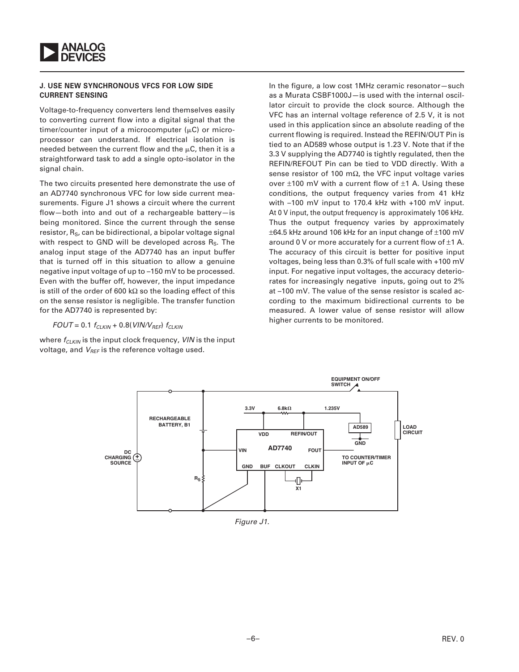

#### **J. USE NEW SYNCHRONOUS VFCS FOR LOW SIDE CURRENT SENSING**

Voltage-to-frequency converters lend themselves easily to converting current flow into a digital signal that the timer/counter input of a microcomputer  $(\mu C)$  or microprocessor can understand. If electrical isolation is needed between the current flow and the  $\mu$ C, then it is a straightforward task to add a single opto-isolator in the signal chain.

The two circuits presented here demonstrate the use of an AD7740 synchronous VFC for low side current measurements. Figure J1 shows a circuit where the current flow—both into and out of a rechargeable battery—is being monitored. Since the current through the sense resistor,  $R<sub>S</sub>$ , can be bidirectional, a bipolar voltage signal with respect to GND will be developed across  $R<sub>S</sub>$ . The analog input stage of the AD7740 has an input buffer that is turned off in this situation to allow a genuine negative input voltage of up to –150 mV to be processed. Even with the buffer off, however, the input impedance is still of the order of 600 k $\Omega$  so the loading effect of this on the sense resistor is negligible. The transfer function for the AD7740 is represented by:

 $FOUT = 0.1 f_{CI KIN} + 0.8(VIN/V_{REF}) f_{CI KIN}$ 

where  $f_{CLKIN}$  is the input clock frequency, VIN is the input voltage, and  $V_{REF}$  is the reference voltage used.

In the figure, a low cost 1MHz ceramic resonator—such as a Murata CSBF1000J—is used with the internal oscillator circuit to provide the clock source. Although the VFC has an internal voltage reference of 2.5 V, it is not used in this application since an absolute reading of the current flowing is required. Instead the REFIN/OUT Pin is tied to an AD589 whose output is 1.23 V. Note that if the 3.3 V supplying the AD7740 is tightly regulated, then the REFIN/REFOUT Pin can be tied to VDD directly. With a sense resistor of 100 m $\Omega$ , the VFC input voltage varies over  $\pm 100$  mV with a current flow of  $\pm 1$  A. Using these conditions, the output frequency varies from 41 kHz with –100 mV input to 170.4 kHz with +100 mV input. At 0 V input, the output frequency is approximately 106 kHz. Thus the output frequency varies by approximately  $\pm$ 64.5 kHz around 106 kHz for an input change of  $\pm$ 100 mV around 0 V or more accurately for a current flow of  $\pm$ 1 A. The accuracy of this circuit is better for positive input voltages, being less than 0.3% of full scale with +100 mV input. For negative input voltages, the accuracy deteriorates for increasingly negative inputs, going out to 2% at –100 mV. The value of the sense resistor is scaled according to the maximum bidirectional currents to be measured. A lower value of sense resistor will allow higher currents to be monitored.



Figure J1.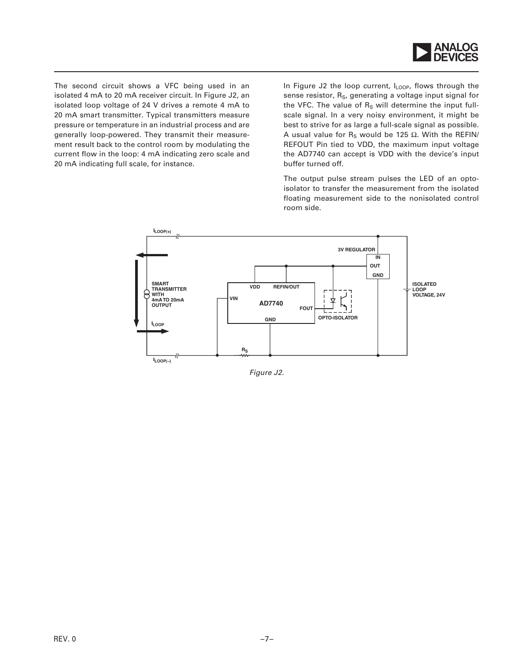

The second circuit shows a VFC being used in an isolated 4 mA to 20 mA receiver circuit. In Figure J2, an isolated loop voltage of 24 V drives a remote 4 mA to 20 mA smart transmitter. Typical transmitters measure pressure or temperature in an industrial process and are generally loop-powered. They transmit their measurement result back to the control room by modulating the current flow in the loop: 4 mA indicating zero scale and 20 mA indicating full scale, for instance.

In Figure J2 the loop current,  $I_{\text{LOOP}}$ , flows through the sense resistor, R<sub>S</sub>, generating a voltage input signal for the VFC. The value of  $R<sub>S</sub>$  will determine the input fullscale signal. In a very noisy environment, it might be best to strive for as large a full-scale signal as possible. A usual value for  $R_S$  would be 125  $\Omega$ . With the REFIN/ REFOUT Pin tied to VDD, the maximum input voltage the AD7740 can accept is VDD with the device's input buffer turned off.

The output pulse stream pulses the LED of an optoisolator to transfer the measurement from the isolated floating measurement side to the nonisolated control room side.



Figure J2.